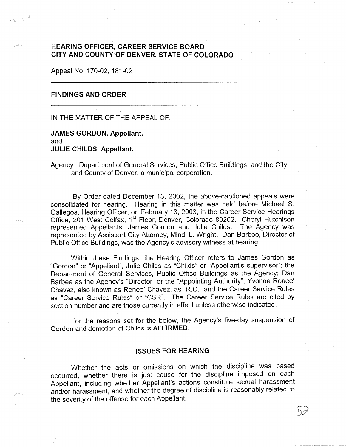# **HEARING OFFICER, CAREER SERVICE BOARD CITY AND COUNTY OF DENVER, STATE OF COLORADO**

Appeal No. 170-02, 181-02

## **FINDINGS AND ORDER**

IN THE MATTER OF THE APPEAL OF:

**JAMES GORDON, Appellant,**  and **JULIE CHILDS, Appellant.** 

Agency: Department of General Services, Public Office Buildings, and the City and County of Denver, a municipal corporation.

By Order dated December 13, 2002, the above-captioned appeals were consolidated for hearing. Hearing in this matter was held before Michael S. Gallegos, Hearing Officer, on February 13, 2003, in the Career Service Hearings Office, 201 West Colfax, 1<sup>st</sup> Floor, Denver, Colorado 80202. Cheryl Hutchison represented Appellants, James Gordon and Julie Childs. The Agency was represented by Assistant City Attorney, Mindi L. Wright. Dan Barbee, Director of Public Office Buildings, was the Agency's advisory witness at hearing.

Within these Findings, the Hearing Officer refers to James Gordon as "Gordon" or "Appellant"; Julie Childs as "Childs" or "Appellant's supervisor''; the Department of General Services, Public Office Buildings as the Agency; Dan Barbee as the Agency's "Director" or the "Appointing Authority"; Yvonne Renee' Chavez, also known as Renee' Chavez, as "R.C." and the Career Service Rules as "Career Service Rules" or "CSR". The Career Service Rules are cited by section number and are those currently in effect unless otherwise indicated.

For the reasons set for the below, the Agency's five-day suspension of Gordon and demotion of Childs is **AFFIRMED.** 

## **ISSUES FOR HEARING**

Whether the acts or omissions on which the discipline was based occurred, whether there is just cause for the discipline imposed on each Appellant, including whether Appellant's actions constitute sexual harassment and/or harassment, and whether the degree of discipline is reasonably related to the severity of the offense for each Appellant.

 $\nabla$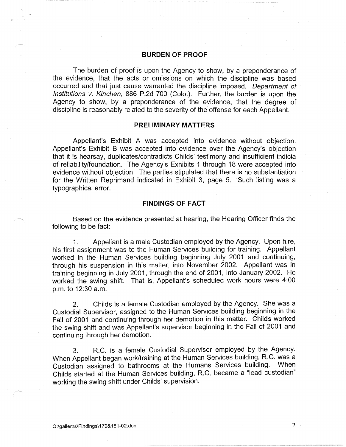## **BURDEN OF PROOF**

The burden of proof is upon the Agency to show, by a preponderance of the evidence, that the acts or omissions on which the discipline was based occurred and that just cause warranted the discipline imposed. Department of Institutions v. Kinchen, 886 P.2d 700 (Colo.). Further, the burden is upon the Agency to show, by a preponderance of the evidence, that the degree of discipline is reasonably related to the severity of the offense for each Appellant.

#### **PRELIMINARY MATTERS**

Appellant's Exhibit A was accepted into evidence without objection. Appellant's Exhibit B was accepted into evidence over the Agency's objection that it is hearsay, duplicates/contradicts Childs' testimony and insufficient indicia of reliability/foundation. The Agency's Exhibits 1 through 18 were accepted into evidence without objection. The parties stipulated that there is no substantiation for the Written Reprimand indicated in Exhibit 3, page 5. Such listing was a typographical error.

## **FINDINGS OF FACT**

Based on the evidence presented at hearing, the Hearing Officer finds the following to be fact:

1. Appellant is a male Custodian employed by the Agency. Upon hire, his first assignment was to the Human Services building for training. Appellant worked in the Human Services building beginning July 2001 and continuing, through his suspension in this matter, into November 2002. Appellant was in training beginning in July 2001, through the end of 2001, into January 2002. He worked the swing shift. That is, Appellant's scheduled work hours were 4:00 p.m. to 12:30 a.m.

2. Childs is a female Custodian employed by the Agency. She was a Custodial Supervisor, assigned to the Human Services building beginning in the Fall of 2001 and continuing through her demotion in this matter. Childs worked the swing shift and was Appellant's supervisor beginning in the Fall of 2001 and continuing through her demotion.

3. R.C. is a female Custodial Supervisor employed by the Agency. When Appellant began work/training at the Human Services building, R.C. was a Custodian assigned to bathrooms at the Humans Services building. When Childs started at the Human Services building, R.C. became a "lead custodian" working the swing shift under Childs' supervision.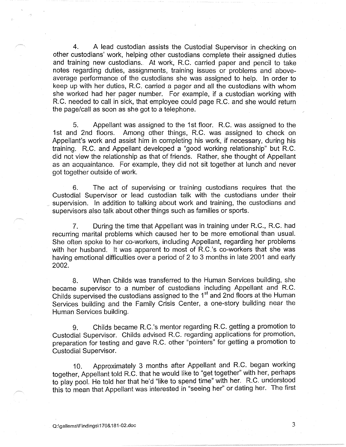4. A lead custodian assists the Custodial Supervisor in checking on other custodians' work, helping other custodians complete their assigned duties and training new custodians.. At work, R.C. carried paper and pencil to take notes regarding duties, assignments, training issues or problems and aboveaverage performance of the custodians she was assigned to help. In order to keep up with her duties, R.C. carried a pager and all the custodians with whom she worked had her pager number. For example, if a custodian working with R.C. needed to call in sick, that employee could page R.C. and she would return the page/call as soon as she got to a telephone.

5. Appellant was assigned to the 1st floor. R.C. was assigned to the 1st and 2nd floors. Among other things, R.C. was assigned to check on Appellant's work and assist him in completing his work, if necessary, during his training. R.C. and Appellant developed a "good working relationship" but R.C. did not view the relationship as that of friends. Rather, she thought of Appellant as an acquaintance. For example, they did not sit together at lunch and never got together outside of work.

6. The act of supervising or training custodians requires that the Custodial Supervisor or lead custodian talk with the custodians under their supervision. In addition to talking about work and training, the custodians and supervisors also talk about other things such as families or sports.

7. During the time that Appellant was in training under R.C., R.C. had recurring marital problems which caused her to be more emotional than usual. She often spoke to her co-workers, including Appellant, regarding her problems with her husband. It was apparent to most of R.C.'s co-workers that she was having emotional difficulties over a period of 2 to 3 months in late 2001 and early 2002.

8. When Childs was transferred to the Human Services building, she became supervisor to a number of custodians including Appellant and R.C. Childs supervised the custodians assigned to the 1<sup>st</sup> and 2nd floors at the Human Services building and the Family Crisis Center, a one-story building near the Human Services building.

9. Childs became R.C.'s mentor regarding R.C. getting a promotion to Custodial Supervisor. Childs advised R.C. regarding applications for promotion, preparation for testing and gave R.C. other "pointers" for getting a promotion to Custodial Supervisor.

10. Approximately 3 months after Appellant and R.C. began working together, Appellant told R.C. that he would like to "get together" with her, perhaps to play pool. He told her that he'd "like to spend time" with her. R.C. understood this to mean that Appellant was interested in "seeing her" or dating her. The first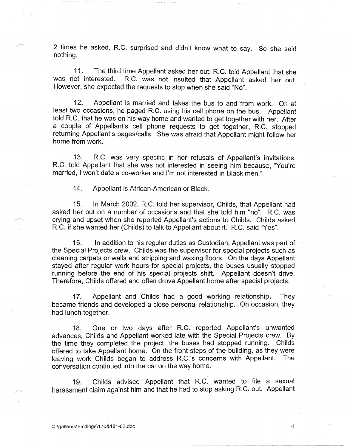2 times he asked, R.C. surprised and didn't know what to say. So she said nothing.

11. The third time Appellant asked her out, R.C. told Appellant that she was not interested. R.C. was not insulted that Appellant asked her out. However, she expected the requests to stop when she said "No".

12. Appellant is married and takes the bus to and from work. On at least two occasions, he paged R.C. using his cell phone on the bus. Appellant told R.C. that he was on his way home and wanted to get together with her. After a couple of Appellant's cell phone requests to get together, R.C. stopped returning Appellant's pages/calls. She was afraid that Appellant might follow her home from work.

13. R.C. was very specific in her refusals of Appellant's invitations. R.C. told Appellant that she was not interested in seeing him because, "You're married, I won't date a co-worker and I'm not interested in Black men."

14. Appellant is African-American or Black.

15. In March 2002, R.C. told her supervisor, Childs, that Appellant had asked her out on a number of occasions and that she told him "no". R.C. was crying and upset when she reported Appellant's actions to Childs. Childs asked R.C. if she wanted her (Childs) to talk to Appellant about it. R.C. said "Yes".

16. In addition to his regular duties as Custodian, Appellant was part of the Special Projects crew. Childs was the supervisor for special projects such as cleaning carpets or walls and stripping and waxing floors. On the days Appellant stayed after regular work hours for special projects, the buses usually stopped running before the end of his special projects shift. Appellant doesn't drive. Therefore, Childs offered and often drove Appellant home after special projects.

17. Appellant and Childs had a good working relationship. They became friends and developed a close personal relationship. On occasion, they had lunch together.

18. One or two days after R.C. reported Appellant's unwanted advances, Childs and Appellant worked late with the Special Projects crew. By the time they completed the project, the buses had stopped running. Childs offered to take Appellant home. On the front steps of the building, as they were leaving work Childs began to address R.C.'s concerns with Appellant. The conversation continued into the car on the way home.

19. Childs advised Appellant that R.C. wanted to file a sexual harassment claim against him and that he had to stop asking R.C. out. Appellant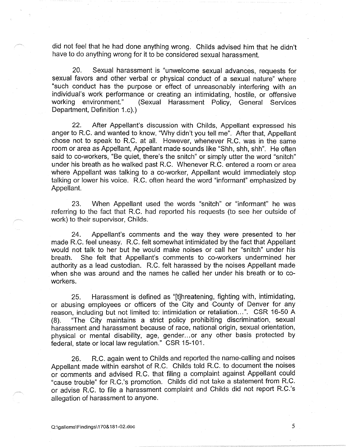did not feel that he had done anything wrong. Childs advised him that he didn't have to do anything wrong for it to be considered sexual harassment.

20. Sexual harassment is "unwelcome sexual advances, requests for sexual favors and other verbal or physical conduct of a sexual nature" where "such conduct has the purpose or effect of unreasonably interfering with an individual's work performance or creating an intimidating, hostile, or offensive working environment." (Sexual Harassment Policy, General Services Department, Definition 1.c).)

22. After Appellant's discussion with Childs, Appellant expressed his anger to R.C. and wanted to know, "Why didn't you tell me". After that, Appellant chose not to speak to R.C. at all. However, whenever R.C. was in the same room or area as Appellant, Appellant made sounds like "Shh, shh, shh". He often said to co-workers, "Be quiet, there's the snitch" or simply utter the word "snitch" under his breath as he walked past R.C. Whenever R.C. entered a room or area where Appellant was talking to a co-worker, Appellant would immediately stop talking or lower his voice. R.C. often heard the word "informant" emphasized by Appellant.

23. When Appellant used the words "snitch" or "informant" he was referring to the fact that R.C. had reported his requests (to see her outside of work) to their supervisor, Childs.

24. Appellant's comments and the way they were presented to her · made R.C. feel uneasy. R.C. felt somewhat intimidated by the fact that Appellant would not talk to her but he would make noises or call her "snitch" under his breath. She felt that Appellant's comments to co-workers undermined her authority as a lead custodian. R.C. felt harassed by the noises Appellant made when she was around and the names he called her under his breath or to coworkers.

25. Harassment is defined as "[t]hreatening, fighting with, intimidating, or abusing employees or officers of the City and County of Denver for any reason, including but not limited to: intimidation or retaliation ... ". CSR 16-50 A (8). "The City maintains a strict policy prohibiting discrimination, sexual harassment and harassment because of race, national origin, sexual orientation, physical or mental disability, age, gender. .. or any other basis protected by federal, state or local law regulation." CSR 15-101.

26. R.C. again went to Childs and reported the name-calling and noises Appellant made within earshot of R.C. Childs told R.C. to document the noises or comments and advised R.C. that filing a complaint against Appellant could "cause trouble" for R.C.'s promotion. Childs did not take a statement from R.C. or advise R.C. to file a harassment complaint and Childs did not report R.C.'s allegation of harassment to anyone.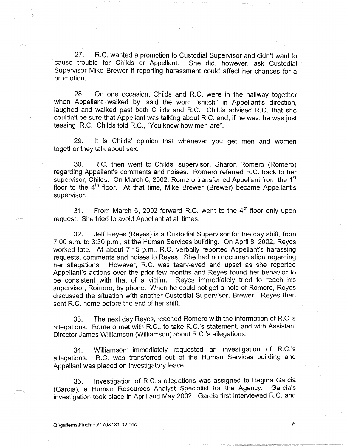27. R.C. wanted a promotion to Custodial Supervisor and didn't want to trouble for Childs or Appellant. She did, however, ask Custodial cause trouble for Childs or Appellant. Supervisor Mike Brewer if reporting harassment could affect her chances for a promotion.

28. On one occasion, Childs and R.C. were in the hallway together when Appellant walked by, said the word "snitch" in Appellant's direction, laughed and walked past both Childs and R.C. Childs advised R.C. that she couldn't be sure that Appellant was talking about R.C. and, if he was, he was just teasing R.C. Childs told R.C., "You know how men are".

29. It is Childs' opinion that whenever you get men and women together they talk about sex.

30. R.C. then went to Childs' supervisor, Sharon Romero (Romero) regarding Appellant's comments and noises. Romero referred R.C. back to her supervisor, Childs. On March 6, 2002, Romero transferred Appellant from the 1<sup>st</sup> floor to the  $4<sup>th</sup>$  floor. At that time, Mike Brewer (Brewer) became Appellant's supervisor.

31. From March 6, 2002 forward R.C. went to the  $4<sup>th</sup>$  floor only upon request. She tried to avoid Appellant at all times.

32. Jeff Reyes (Reyes) is a Custodial Supervisor for the day shift, from 7:00 a.m. to 3:30 p.m., at the Human Services building. On April 8, 2002, Reyes worked late. At about 7:15 p.m., R.C. verbally reported Appellant's harassing requests, comments and noises to Reyes. She had no documentation regarding her allegations. However, R.C. was teary-eyed and upset as she reported Appellant's actions over the prior few months and Reyes found her behavior to be consistent with that of a victim. Reyes immediately tried to reach his supervisor, Romero, by phone. When he could not get a hold of Romero, Reyes discussed the situation with another Custodial Supervisor, Brewer. Reyes then sent R.C. home before the end of her shift.

33. The next day Reyes, reached Romero with the information of R.C.'s allegations. Romero met with R.C., to take R.C.'s statement, and with Assistant Director James Williamson (Williamson) about R.C.'s allegations.

34. Williamson immediately requested an investigation of R.C.'s allegations. R.C. was transferred out of the Human Services building and Appellant was placed on investigatory leave.

35. Investigation of R.C.'s allegations was assigned to Regina Garcia (Garcia), a Human Resources Analyst Specialist for the Agency. Garcia's investigation took place in April and May 2002. Garcia first interviewed R.C. and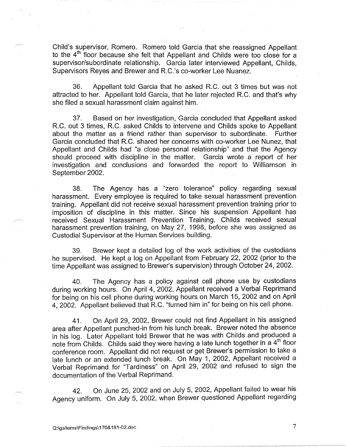Child's supervisor, Romero. Romero told Garcia that she reassigned Appellant to the 4<sup>th</sup> floor because she felt that Appellant and Childs were too close for a supervisor/subordinate relationship. Garcia later interviewed Appellant, Childs, Supervisors Reyes and Brewer and R.C.'s co-worker Lee Nuanez.

36. Appellant told Garcia that he asked R.C. out 3 times but was not attracted to her. Appellant told Garcia, that he later rejected R.C. and that's why she filed a sexual harassment claim against him.

37. Based on her investigation, Garcia concluded that Appellant asked R.C. out 3 times, R.C. asked Childs to intervene and Childs spoke to Appellant about the matter as a friend rather than supervisor to subordinate. Further Garcia concluded that R.C. shared her concerns with co-worker Lee Nunez, that Appellant and Childs had "a close personal relationship" and that the Agency should proceed with discipline in the matter. Garcia wrote a report of her investigation and conclusions and forwarded the report to Williamson in September 2002.

38. The Agency has a "zero tolerance" policy regarding sexual harassment. Every employee is required to take sexual harassment prevention training. Appellant did not receive sexual harassment prevention training prior to imposition of discipline in this matter. Since his suspension Appellant has received Sexual Harassment Prevention Training. Childs received sexual harassment prevention training, on May 27, 1998, before she was assigned as Custodial Supervisor at the Human Services building.

39. Brewer kept a detailed log of the work activities of the custodians he supervised. He kept a log on Appellant from February 22, 2002 (prior to the time Appellant was assigned to Brewer's supervision) through October 24, 2002.

40. The Agency has a policy against cell phone use by custodians during working hours. On April 4, 2002, Appellant received a Verbal Reprimand for being on his cell phone during working hours on March 15, 2002 and on April 4, 2002. Appellant believed that R.C. "turned him in" for being on his cell phone.

41. On April 29, 2002, Brewer could not find Appellant in his assigned area after Appellant punched-in from his lunch break. Brewer noted the absence in his log. Later Appellant told Brewer that he was with Childs and produced a note from Childs. Childs said they were having a late lunch together in a 4<sup>th</sup> floor conference room. Appellant did not request or get Brewer's permission to take a late lunch or an extended lunch break. On May 1, 2002, Appellant received a Verbal Reprimand for "Tardiness" on April 29, 2002 and refused to sign the documentation of the Verbal Reprimand.

42. On June 25, 2002 and on July 5, 2002, Appellant failed to wear his Agency uniform. On July 5, 2002, when Brewer questioned Appellant regarding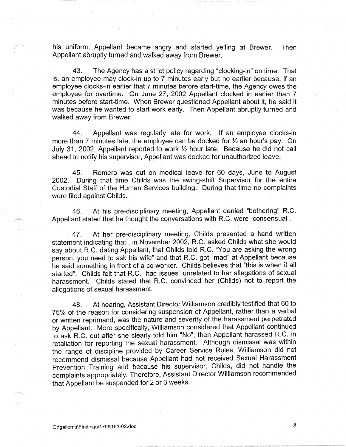his uniform, Appellant became angry and started yelling at Brewer. Then Appellant abruptly turned and walked away from Brewer.

43. The Agency has a strict policy regarding "clocking-in" on time. That is, an employee may clock-in up to 7 minutes early but no earlier because, if an employee clocks-in earlier that 7 minutes before start-time, the Agency owes the employee for overtime. On June 27, 2002 Appellant clocked in earlier than 7 minutes before start-time. When Brewer questioned Appellant about it, he said it was because he wanted to start work early. Then Appellant abruptly turned and walked away from Brewer.

44. Appellant was regularly late for work. If an employee clocks-in more than 7 minutes late, the employee can be docked for ½ an hour's pay. On July 31, 2002, Appellant reported to work ½ hour late. Because he did not call ahead to notify his supervisor, Appellant was docked for unauthorized leave.

45. Romero was out on medical leave for 60 days, June to August 2002. During that time Childs was the swing-shift Supervisor for the entire Custodial Staff of the Human Services building. During that time no complaints were filed against Childs.

46. At his pre-disciplinary meeting, Appellant denied "bothering" R.C. Appellant stated that he thought the conversations with R.C. were "consensual".

47. At her pre-disciplinary meeting, Childs presented a hand written statement indicating that, in November 2002, R.C. asked Childs what she would say about R.C. dating Appellant, that Childs told R.C. "You are asking the wrong person, you need to ask his wife" and that R.C. got "mad" at Appellant because he said something in front of a co-worker. Childs believes that "this is when it all started". Childs felt that R.C. "had issues" unrelated to her allegations of sexual harassment. Childs stated that R.C. convinced her (Childs) not to report the allegations of sexual harassment.

48. At hearing, Assistant Director Williamson credibly testified that 60 to 75% of the reason for considering suspension of Appellant, rather than a verbal or written reprimand, was the nature and severity of the harassment perpetrated by Appellant. More specifically, Williamson considered that Appellant continued to ask R.C. out after she clearly told him "No"; then Appellant harassed R.C. in retaliation for reporting the sexual harassment. Although dismissal was within the range of discipline provided by Career Service Rules, Williamson did not recommend dismissal because Appellant had not received Sexual Harassment Prevention Training and because his supervisor, Childs, did not handle the complaints appropriately. Therefore, Assistant Director Williamson recommended that Appellant be suspended for 2 or 3 weeks.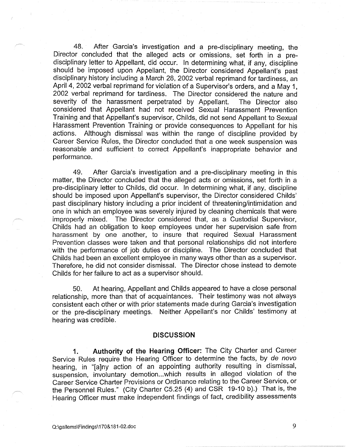48. After Garcia's investigation and a pre-disciplinary meeting, the Director concluded that the alleged acts or omissions, set forth in a predisciplinary letter to Appellant, did occur. In determining what, if any, discipline should be imposed upon Appellant, the Director considered Appellant's past disciplinary history including a March 28, 2002 verbal reprimand for tardiness, an April 4, 2002 verbal reprimand for violation of a Supervisor's orders, and a May 1, 2002 verbal reprimand for tardiness. The Director considered the nature and severity of the harassment perpetrated by Appellant. The Director also considered that Appellant had not received Sexual Harassment Prevention Training and that Appellant's supervisor, Childs, did not send Appellant to Sexual Harassment Prevention Training or provide consequences to Appellant for his actions. Although dismissal was within the range of discipline provided by Career Service Rules, the Director concluded that a one week suspension was reasonable and sufficient to correct Appellant's inappropriate behavior and performance.

49. After Garcia's investigation and a pre-disciplinary meeting in this matter, the Director concluded that the alleged acts or omissions, set forth in a pre-disciplinary letter to Childs, did occur. In determining what, if any, discipline should be imposed upon Appellant's supervisor, the Director considered Childs' past disciplinary history including a prior incident of threatening/intimidation and one in which an employee was severely injured by cleaning chemicals that were improperly mixed. The Director considered that, as a Custodial Supervisor, Childs had an obligation to keep employees under her supervision safe from harassment by one another, to insure that required Sexual Harassment Prevention classes were taken and that personal relationships did not interfere with the performance of job duties or discipline. The Director concluded that Childs had been an excellent employee in many ways other than as a supervisor. Therefore, he did not consider dismissal. The Director chose instead to demote Childs for her failure to act as a supervisor should.

50. At hearing, Appellant and Childs appeared to have a close personal relationship, more than that of acquaintances. Their testimony was not always consistent each other or with prior statements made during Garcia's investigation or the pre-disciplinary meetings. Neither Appellant's nor Childs' testimony at hearing was credible.

#### **DISCUSSION**

**1. Authority of the Hearing Officer:** The City Charter and Career Service Rules require the Hearing Officer to determine the facts, by de novo hearing, in "[a]ny action of an appointing authority resulting in dismissal, suspension, involuntary demotion...which results in alleged violation of the Career Service Charter Provisions or Ordinance relating to the Career Service, or the Personnel Rules." (City Charter C5.25 (4) and CSR 19-10 b).) That is, the Hearing Officer must make independent findings of fact, credibility assessments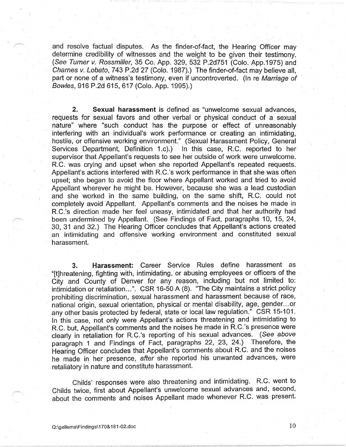and resolve factual disputes. As the finder-of-fact, the Hearing Officer may determine credibility of witnesses and the weight to be given their testimony. (See Turner v. Rossmiller, 35 Co. App. 329, 532 P.2d751 (Colo. App.1975) and Charnes *v.* Lobato, 743 P.2d 27 (Colo. 1987).) The finder-of-fact may believe all, part or none of a witness's testimony, even if uncontroverted. (In re Marriage of Bowles, 916 P.2d 615,617 (Colo. App. 1995).)

**2. Sexual harassment** is defined as "unwelcome sexual advances, requests for sexual favors and other verbal or physical conduct of a sexual nature" where "such conduct has the purpose or effect of unreasonably interfering with an individual's work performance or creating an intimidating, hostile, or offensive working environment." (Sexual Harassment Policy, General Services Department, Definition 1.c).) In this case, R.C. reported to her supervisor that Appellant's requests to see her outside of work were unwelcome. R.C. was crying and upset when she reported Appellant's repeated requests. Appellant's actions interfered with R.C.'s work performance in that she was often upset; she began to avoid the floor where Appellant worked and tried to avoid Appellant wherever he might be. However, because she was a lead custodian and she worked in the same building, on the same shift, R.C. could not completely avoid Appellant. Appellant's comments and the noises he made in R.C.'s direction made her feel uneasy, intimidated and that her authority had been undermined by Appellant. (See Findings of Fact, paragraphs 10, 15, 24, 30, 31 and 32.) The Hearing Officer concludes that Appellant's actions created an intimidating and offensive working environment and constituted sexual harassment.

**3. Harassment:** Career Service Rules define harassment as "[t]hreatening, fighting with, intimidating, or abusing employees or officers of the City and County of Denver for any reason, including but not limited to: intimidation or retaliation...". CSR 16-50 A (8). "The City maintains a strict policy prohibiting discrimination, sexual harassment and harassment because of race, national origin, sexual orientation, physical or mental disability, age, gender. .. or any other basis protected by federal, state or local law regulation." CSR 15-101. In this case, not only were Appellant's actions threatening and intimidating to R.C. but, Appellant's comments and the noises he made in R.C.'s presence were clearly in retaliation for R.C.'s reporting of his sexual advances. (See above paragraph 1 and Findings of Fact, paragraphs 22, 23, 24.) Therefore, the Hearing Officer concludes that Appellant's comments about R.C. and the noises he made in her presence, after she reported his unwanted advances, were retaliatory in nature and constitute harassment.

Childs' responses were also threatening and intimidating. R.C. went to Childs twice, first about Appellant's unwelcome sexual advances and, second, about the comments and noises Appellant made whenever R.C. was present.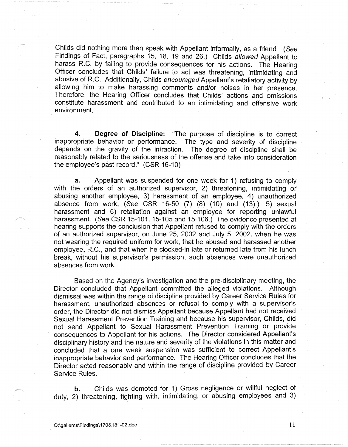Childs did nothing more than speak with Appellant informally, as a friend. ( See Findings of Fact, paragraphs 15, 18, 19 and 26.) Childs allowed Appellant to harass R.C. by failing to provide consequences for his actions. The Hearing Officer concludes that Childs' failure to act was threatening, intimidating and abusive of R.C. Additionally, Childs encouraged Appellant's retaliatory activity by allowing him to make harassing comments and/or noises in her presence. Therefore, the Hearing Officer concludes that Childs' actions and omissions constitute harassment and contributed to an intimidating and offensive work environment.

**4. Degree of Discipline:** "The purpose of discipline is to correct inappropriate behavior or performance. The type and severity of discipline depends on the gravity of the infraction. The degree of discipline shall be reasonably related to the seriousness of the offense and take into consideration the employee's past record." (CSR 16-10)

**a.** Appellant was suspended for one week for 1) refusing to comply with the orders of an authorized supervisor, 2) threatening, intimidating or abusing another employee, 3) harassment of an employee, 4) unauthorized absence from work, (See CSR 16-50 (7) (8) (10) and (13).), 5) sexual harassment and 6) retaliation against an employee for reporting unlawful harassment. (See CSR 15-101, 15-105 and 15-106.) The evidence presented at hearing supports the conclusion that Appellant refused to comply with the orders of an authorized supervisor, on June 25, 2002 and July 5, 2002, when he was not wearing the required uniform for work, that he abused and harassed another employee, R.C., and that when he clocked-in late or returned late from his lunch break, without his supervisor's permission, such absences were unauthorized absences from work.

Based on the Agency's investigation and the pre-disciplinary meeting, the Director concluded that Appellant committed the alleged violations. Although dismissal was within the range of discipline provided by Career Service Rules for harassment, unauthorized absences or refusal to comply with a supervisor's order, the Director did not dismiss Appellant because Appellant had not received Sexual Harassment Prevention Training and because his supervisor, Childs, did not send Appellant to Sexual Harassment Prevention Training or provide consequences to Appellant for his actions. The Director considered Appellant's disciplinary history and the nature and severity of the violations in this matter and concluded that a one week suspension was sufficient to correct Appellant's inappropriate behavior and performance. The Hearing Officer concludes that the Director acted reasonably and within the range of discipline provided by Career Service Rules.

**b.** Childs was demoted for 1) Gross negligence or willful neglect of duty, 2) threatening, fighting with, intimidating, or abusing employees and 3)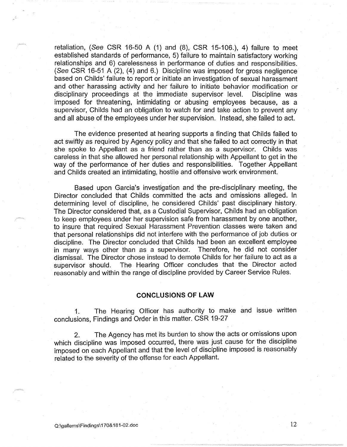retaliation, (See CSR 16-50 A (1) and (8), CSR 15-106.), 4) failure to meet established standards of performance, 5) failure to maintain satisfactory working relationships and 6) carelessness in performance of duties and responsibilities. (See CSR 16-51 A (2), (4) and 6.) Discipline was imposed for gross negligence based on Childs' failure to report or initiate an investigation of sexual harassment and other harassing activity and her failure to initiate behavior modification or disciplinary proceedings at the immediate supervisor level. Discipline was imposed for threatening, intimidating or abusing employees because, as a supervisor, Childs had an obligation to watch for and take action to prevent any and all abuse of the employees under her supervision. Instead, she failed to act.

The evidence presented at hearing supports a finding that Childs failed to act swiftly as required by Agency policy and that she failed to act correctly in that she spoke to Appellant as a friend rather than as a supervisor. Childs was careless in that she allowed her personal relationship with Appellant to get in the way of the performance of her duties and responsibilities. Together Appellant and Childs created an intimidating, hostile and offensive work environment.

Based upon Garcia's investigation and the pre-disciplinary meeting, the Director concluded that Childs committed the acts and omissions alleged. In determining level of discipline, he considered Childs' past disciplinary history. The Director considered that, as a Custodial Supervisor, Childs had an obligation to keep employees under her supervision safe from harassment by one another, to insure that required Sexual Harassment Prevention classes were taken and that personal relationships did not interfere with the performance of job duties or discipline. The Director concluded that Childs had been an excellent employee in many ways other than as a supervisor. Therefore, he did not consider dismissal. The Director chose instead to demote Childs for her failure to act as a supervisor should. The Hearing Officer concludes that the Director acted reasonably and within the range of discipline provided by Career Service Rules.

#### **CONCLUSIONS OF LAW**

1. The Hearing Officer has authority to make and issue written conclusions, Findings and Order in this matter. CSR 19-27

2. The Agency has met its burden to show the acts or omissions upon which discipline was imposed occurred, there was just cause for the discipline imposed on each Appellant and that the level of discipline imposed is reasonably related to the severity of the offense for each Appellant.